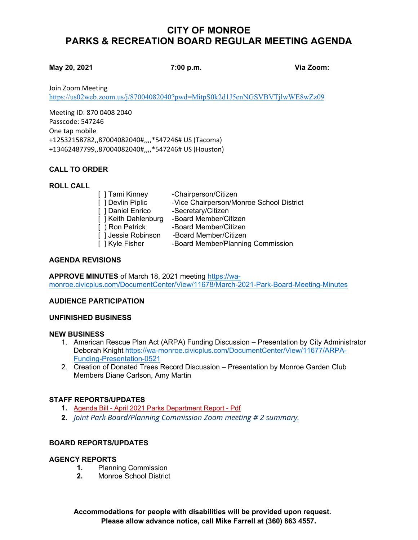# **CITY OF MONROE PARKS & RECREATION BOARD REGULAR MEETING AGENDA**

#### **May 20, 2021 7:00 p.m. Via Zoom:**

Join Zoom Meeting

<https://us02web.zoom.us/j/87004082040?pwd=MitpS0k2d1J5enNGSVBVTjlwWE8wZz09>

Meeting ID: 870 0408 2040 Passcode: 547246 One tap mobile +12532158782,,87004082040#,,,,\*547246# US (Tacoma) +13462487799,,87004082040#,,,,\*547246# US (Houston)

# **CALL TO ORDER**

## **ROLL CALL**

| [ ] Tami Kinney      | -Chairperson/Citizen                     |
|----------------------|------------------------------------------|
| [ ] Devlin Piplic    | -Vice Chairperson/Monroe School District |
| [ ] Daniel Enrico    | -Secretary/Citizen                       |
| [ ] Keith Dahlenburg | -Board Member/Citizen                    |
| Ⅰ ) Ron Petrick      | -Board Member/Citizen                    |
| [ ] Jessie Robinson  | -Board Member/Citizen                    |
| []Kyle Fisher        | -Board Member/Planning Commission        |

#### **AGENDA REVISIONS**

**APPROVE MINUTES** of March 18, 2021 meeting [https://wa](https://wa-monroe.civicplus.com/DocumentCenter/View/11678/March-2021-Park-Board-Meeting-Minutes)[monroe.civicplus.com/DocumentCenter/View/11678/March-2021-Park-Board-Meeting-Minutes](https://wa-monroe.civicplus.com/DocumentCenter/View/11678/March-2021-Park-Board-Meeting-Minutes)

## **AUDIENCE PARTICIPATION**

## **UNFINISHED BUSINESS**

#### **NEW BUSINESS**

- 1. American Rescue Plan Act (ARPA) Funding Discussion Presentation by City Administrator Deborah Knight [https://wa-monroe.civicplus.com/DocumentCenter/View/11677/ARPA-](https://wa-monroe.civicplus.com/DocumentCenter/View/11677/ARPA-Funding-Presentation-0521)[Funding-Presentation-0521](https://wa-monroe.civicplus.com/DocumentCenter/View/11677/ARPA-Funding-Presentation-0521)
- 2. Creation of Donated Trees Record Discussion Presentation by Monroe Garden Club Members Diane Carlson, Amy Martin

## **STAFF REPORTS/UPDATES**

- **1.** Agenda Bill [April 2021 Parks Department Report -](https://monroewa.civicweb.net/document/9684/April%202021%20Parks%20Department%20Report.pdf?handle=23DAE6AC9246494BA2A6E1118FFFFAEE) Pdf
- **2.** *[Joint Park Board/Planning Commission Zoom meeting # 2 summary.](https://monroewa.gov/DocumentCenter/View/11672/Monroe-Joint-Board-Commission-Meeting-2-Summary)*

## **BOARD REPORTS/UPDATES**

## **AGENCY REPORTS**

- 1. Planning Commission<br>2. Monroe School District
- **2.** Monroe School District

**Accommodations for people with disabilities will be provided upon request. Please allow advance notice, call Mike Farrell at (360) 863 4557.**